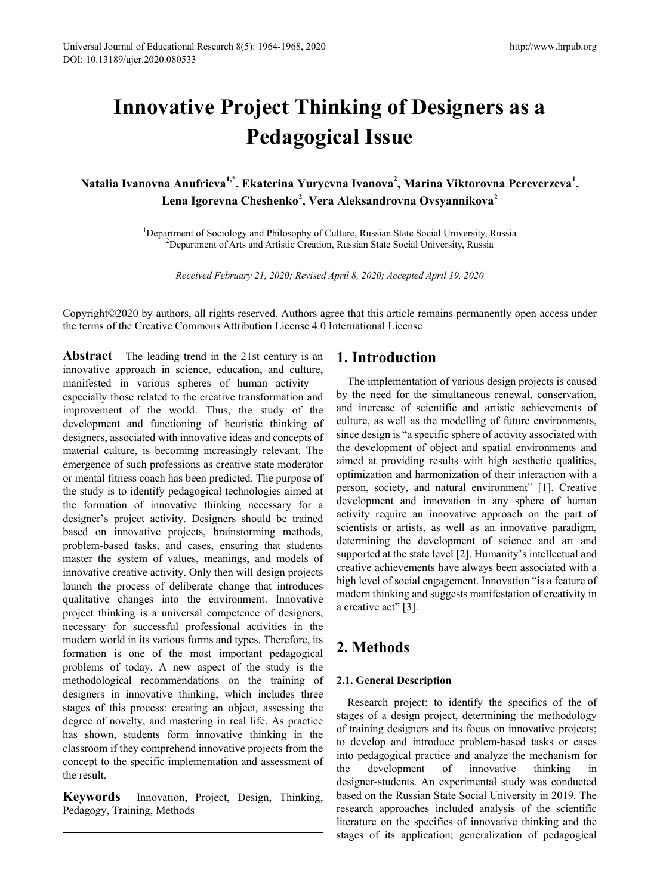# **Innovative Project Thinking of Designers as a Pedagogical Issue**

**Natalia Ivanovna Anufrieva1,\*, Ekaterina Yuryevna Ivanova2 , Marina Viktorovna Pereverzeva<sup>1</sup> , Lena Igorevna Cheshenko<sup>2</sup> , Vera Aleksandrovna Ovsyannikova<sup>2</sup>**

> <sup>1</sup>Department of Sociology and Philosophy of Culture, Russian State Social University, Russia  $\frac{2 \text{Department of Arts and Artistic Creation; Russell University; Russia}}{2 \text{Department of Arts and Artistic Creation; Russell University; Russia}}$ <sup>2</sup>Department of Arts and Artistic Creation, Russian State Social University, Russia

*Received February 21, 2020; Revised April 8, 2020; Accepted April 19, 2020*

Copyright©2020 by authors, all rights reserved. Authors agree that this article remains permanently open access under the terms of the Creative Commons Attribution License 4.0 International License

**Abstract** The leading trend in the 21st century is an innovative approach in science, education, and culture, manifested in various spheres of human activity – especially those related to the creative transformation and improvement of the world. Thus, the study of the development and functioning of heuristic thinking of designers, associated with innovative ideas and concepts of material culture, is becoming increasingly relevant. The emergence of such professions as creative state moderator or mental fitness coach has been predicted. The purpose of the study is to identify pedagogical technologies aimed at the formation of innovative thinking necessary for a designer's project activity. Designers should be trained based on innovative projects, brainstorming methods, problem-based tasks, and cases, ensuring that students master the system of values, meanings, and models of innovative creative activity. Only then will design projects launch the process of deliberate change that introduces qualitative changes into the environment. Innovative project thinking is a universal competence of designers, necessary for successful professional activities in the modern world in its various forms and types. Therefore, its formation is one of the most important pedagogical problems of today. A new aspect of the study is the methodological recommendations on the training of designers in innovative thinking, which includes three stages of this process: creating an object, assessing the degree of novelty, and mastering in real life. As practice has shown, students form innovative thinking in the classroom if they comprehend innovative projects from the concept to the specific implementation and assessment of the result.

**Keywords** Innovation, Project, Design, Thinking, Pedagogy, Training, Methods

## **1. Introduction**

The implementation of various design projects is caused by the need for the simultaneous renewal, conservation, and increase of scientific and artistic achievements of culture, as well as the modelling of future environments, since design is "a specific sphere of activity associated with the development of object and spatial environments and aimed at providing results with high aesthetic qualities, optimization and harmonization of their interaction with a person, society, and natural environment" [1]. Creative development and innovation in any sphere of human activity require an innovative approach on the part of scientists or artists, as well as an innovative paradigm, determining the development of science and art and supported at the state level [2]. Humanity's intellectual and creative achievements have always been associated with a high level of social engagement. Innovation "is a feature of modern thinking and suggests manifestation of creativity in a creative act" [3].

# **2. Methods**

### **2.1. General Description**

Research project: to identify the specifics of the of stages of a design project, determining the methodology of training designers and its focus on innovative projects; to develop and introduce problem-based tasks or cases into pedagogical practice and analyze the mechanism for the development of innovative thinking in designer-students. An experimental study was conducted based on the Russian State Social University in 2019. The research approaches included analysis of the scientific literature on the specifics of innovative thinking and the stages of its application; generalization of pedagogical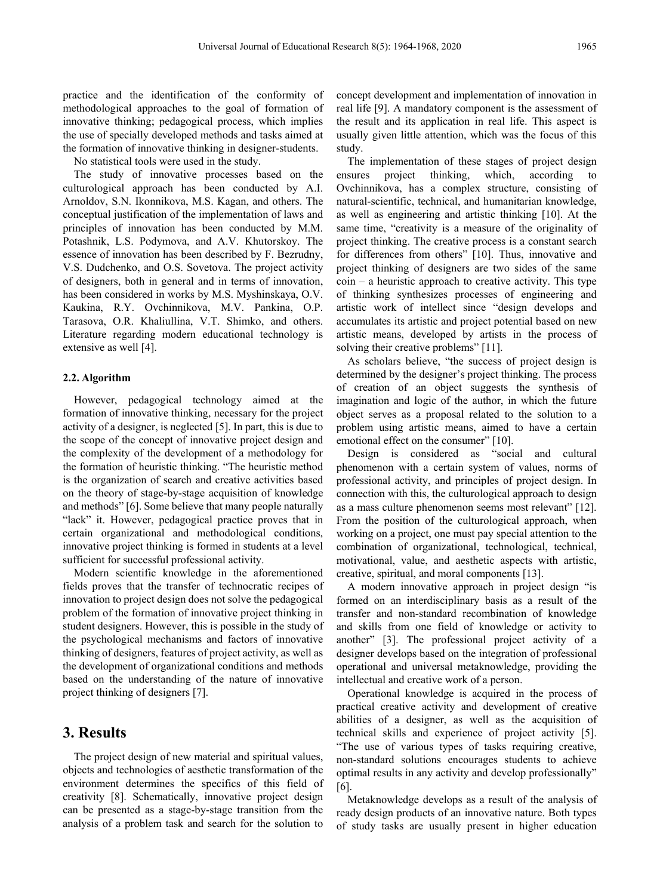practice and the identification of the conformity of methodological approaches to the goal of formation of innovative thinking; pedagogical process, which implies the use of specially developed methods and tasks aimed at the formation of innovative thinking in designer-students.

No statistical tools were used in the study.

The study of innovative processes based on the culturological approach has been conducted by A.I. Arnoldov, S.N. Ikonnikova, M.S. Kagan, and others. The conceptual justification of the implementation of laws and principles of innovation has been conducted by M.M. Potashnik, L.S. Podymova, and A.V. Khutorskoy. The essence of innovation has been described by F. Bezrudny, V.S. Dudchenko, and O.S. Sovetova. The project activity of designers, both in general and in terms of innovation, has been considered in works by M.S. Myshinskaya, O.V. Kaukina, R.Y. Ovchinnikova, M.V. Pankina, O.P. Tarasova, O.R. Khaliullina, V.T. Shimko, and others. Literature regarding modern educational technology is extensive as well [4].

#### **2.2. Algorithm**

However, pedagogical technology aimed at the formation of innovative thinking, necessary for the project activity of a designer, is neglected [5]. In part, this is due to the scope of the concept of innovative project design and the complexity of the development of a methodology for the formation of heuristic thinking. "The heuristic method is the organization of search and creative activities based on the theory of stage-by-stage acquisition of knowledge and methods" [6]. Some believe that many people naturally "lack" it. However, pedagogical practice proves that in certain organizational and methodological conditions, innovative project thinking is formed in students at a level sufficient for successful professional activity.

Modern scientific knowledge in the aforementioned fields proves that the transfer of technocratic recipes of innovation to project design does not solve the pedagogical problem of the formation of innovative project thinking in student designers. However, this is possible in the study of the psychological mechanisms and factors of innovative thinking of designers, features of project activity, as well as the development of organizational conditions and methods based on the understanding of the nature of innovative project thinking of designers [7].

## **3. Results**

The project design of new material and spiritual values, objects and technologies of aesthetic transformation of the environment determines the specifics of this field of creativity [8]. Schematically, innovative project design can be presented as a stage-by-stage transition from the analysis of a problem task and search for the solution to

concept development and implementation of innovation in real life [9]. A mandatory component is the assessment of the result and its application in real life. This aspect is usually given little attention, which was the focus of this study.

The implementation of these stages of project design ensures project thinking, which, according to Ovchinnikova, has a complex structure, consisting of natural-scientific, technical, and humanitarian knowledge, as well as engineering and artistic thinking [10]. At the same time, "creativity is a measure of the originality of project thinking. The creative process is a constant search for differences from others" [10]. Thus, innovative and project thinking of designers are two sides of the same  $\cosh$  – a heuristic approach to creative activity. This type of thinking synthesizes processes of engineering and artistic work of intellect since "design develops and accumulates its artistic and project potential based on new artistic means, developed by artists in the process of solving their creative problems" [11].

As scholars believe, "the success of project design is determined by the designer's project thinking. The process of creation of an object suggests the synthesis of imagination and logic of the author, in which the future object serves as a proposal related to the solution to a problem using artistic means, aimed to have a certain emotional effect on the consumer" [10].

Design is considered as "social and cultural phenomenon with a certain system of values, norms of professional activity, and principles of project design. In connection with this, the culturological approach to design as a mass culture phenomenon seems most relevant" [12]. From the position of the culturological approach, when working on a project, one must pay special attention to the combination of organizational, technological, technical, motivational, value, and aesthetic aspects with artistic, creative, spiritual, and moral components [13].

A modern innovative approach in project design "is formed on an interdisciplinary basis as a result of the transfer and non-standard recombination of knowledge and skills from one field of knowledge or activity to another" [3]. The professional project activity of a designer develops based on the integration of professional operational and universal metaknowledge, providing the intellectual and creative work of a person.

Operational knowledge is acquired in the process of practical creative activity and development of creative abilities of a designer, as well as the acquisition of technical skills and experience of project activity [5]. "The use of various types of tasks requiring creative, non-standard solutions encourages students to achieve optimal results in any activity and develop professionally" [6].

Metaknowledge develops as a result of the analysis of ready design products of an innovative nature. Both types of study tasks are usually present in higher education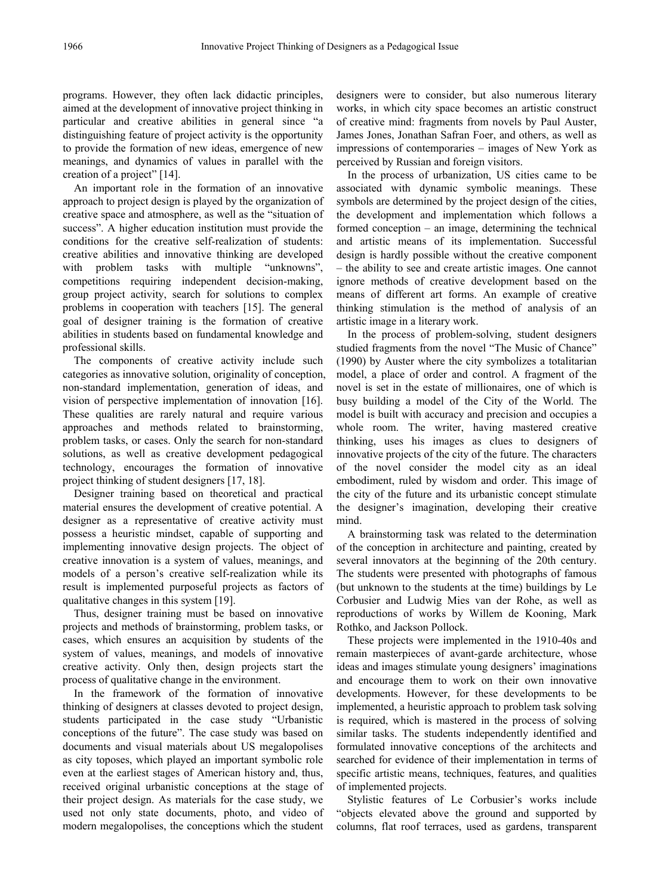programs. However, they often lack didactic principles, aimed at the development of innovative project thinking in particular and creative abilities in general since "a distinguishing feature of project activity is the opportunity to provide the formation of new ideas, emergence of new meanings, and dynamics of values in parallel with the creation of a project" [14].

An important role in the formation of an innovative approach to project design is played by the organization of creative space and atmosphere, as well as the "situation of success". A higher education institution must provide the conditions for the creative self-realization of students: creative abilities and innovative thinking are developed with problem tasks with multiple "unknowns", competitions requiring independent decision-making, group project activity, search for solutions to complex problems in cooperation with teachers [15]. The general goal of designer training is the formation of creative abilities in students based on fundamental knowledge and professional skills.

The components of creative activity include such categories as innovative solution, originality of conception, non-standard implementation, generation of ideas, and vision of perspective implementation of innovation [16]. These qualities are rarely natural and require various approaches and methods related to brainstorming, problem tasks, or cases. Only the search for non-standard solutions, as well as creative development pedagogical technology, encourages the formation of innovative project thinking of student designers [17, 18].

Designer training based on theoretical and practical material ensures the development of creative potential. A designer as a representative of creative activity must possess a heuristic mindset, capable of supporting and implementing innovative design projects. The object of creative innovation is a system of values, meanings, and models of a person's creative self-realization while its result is implemented purposeful projects as factors of qualitative changes in this system [19].

Thus, designer training must be based on innovative projects and methods of brainstorming, problem tasks, or cases, which ensures an acquisition by students of the system of values, meanings, and models of innovative creative activity. Only then, design projects start the process of qualitative change in the environment.

In the framework of the formation of innovative thinking of designers at classes devoted to project design, students participated in the case study "Urbanistic conceptions of the future". The case study was based on documents and visual materials about US megalopolises as city toposes, which played an important symbolic role even at the earliest stages of American history and, thus, received original urbanistic conceptions at the stage of their project design. As materials for the case study, we used not only state documents, photo, and video of modern megalopolises, the conceptions which the student designers were to consider, but also numerous literary works, in which city space becomes an artistic construct of creative mind: fragments from novels by Paul Auster, James Jones, Jonathan Safran Foer, and others, as well as impressions of contemporaries – images of New York as perceived by Russian and foreign visitors.

In the process of urbanization, US cities came to be associated with dynamic symbolic meanings. These symbols are determined by the project design of the cities, the development and implementation which follows a formed conception – an image, determining the technical and artistic means of its implementation. Successful design is hardly possible without the creative component – the ability to see and create artistic images. One cannot ignore methods of creative development based on the means of different art forms. An example of creative thinking stimulation is the method of analysis of an artistic image in a literary work.

In the process of problem-solving, student designers studied fragments from the novel "The Music of Chance" (1990) by Auster where the city symbolizes a totalitarian model, a place of order and control. A fragment of the novel is set in the estate of millionaires, one of which is busy building a model of the City of the World. The model is built with accuracy and precision and occupies a whole room. The writer, having mastered creative thinking, uses his images as clues to designers of innovative projects of the city of the future. The characters of the novel consider the model city as an ideal embodiment, ruled by wisdom and order. This image of the city of the future and its urbanistic concept stimulate the designer's imagination, developing their creative mind.

A brainstorming task was related to the determination of the conception in architecture and painting, created by several innovators at the beginning of the 20th century. The students were presented with photographs of famous (but unknown to the students at the time) buildings by Le Corbusier and Ludwig Mies van der Rohe, as well as reproductions of works by Willem de Kooning, Mark Rothko, and Jackson Pollock.

These projects were implemented in the 1910-40s and remain masterpieces of avant-garde architecture, whose ideas and images stimulate young designers' imaginations and encourage them to work on their own innovative developments. However, for these developments to be implemented, a heuristic approach to problem task solving is required, which is mastered in the process of solving similar tasks. The students independently identified and formulated innovative conceptions of the architects and searched for evidence of their implementation in terms of specific artistic means, techniques, features, and qualities of implemented projects.

Stylistic features of Le Corbusier's works include "objects elevated above the ground and supported by columns, flat roof terraces, used as gardens, transparent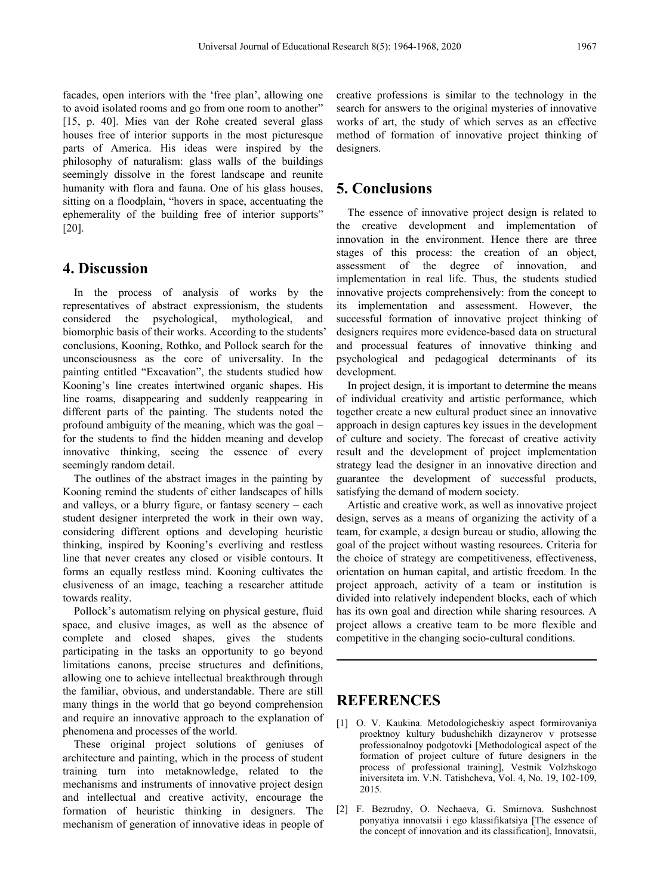facades, open interiors with the 'free plan', allowing one to avoid isolated rooms and go from one room to another" [15, p. 40]. Mies van der Rohe created several glass houses free of interior supports in the most picturesque parts of America. His ideas were inspired by the philosophy of naturalism: glass walls of the buildings seemingly dissolve in the forest landscape and reunite humanity with flora and fauna. One of his glass houses, sitting on a floodplain, "hovers in space, accentuating the ephemerality of the building free of interior supports" [20].

## **4. Discussion**

In the process of analysis of works by the representatives of abstract expressionism, the students considered the psychological, mythological, and biomorphic basis of their works. According to the students' conclusions, Kooning, Rothko, and Pollock search for the unconsciousness as the core of universality. In the painting entitled "Excavation", the students studied how Kooning's line creates intertwined organic shapes. His line roams, disappearing and suddenly reappearing in different parts of the painting. The students noted the profound ambiguity of the meaning, which was the goal – for the students to find the hidden meaning and develop innovative thinking, seeing the essence of every seemingly random detail.

The outlines of the abstract images in the painting by Kooning remind the students of either landscapes of hills and valleys, or a blurry figure, or fantasy scenery – each student designer interpreted the work in their own way, considering different options and developing heuristic thinking, inspired by Kooning's everliving and restless line that never creates any closed or visible contours. It forms an equally restless mind. Kooning cultivates the elusiveness of an image, teaching a researcher attitude towards reality.

Pollock's automatism relying on physical gesture, fluid space, and elusive images, as well as the absence of complete and closed shapes, gives the students participating in the tasks an opportunity to go beyond limitations canons, precise structures and definitions, allowing one to achieve intellectual breakthrough through the familiar, obvious, and understandable. There are still many things in the world that go beyond comprehension and require an innovative approach to the explanation of phenomena and processes of the world.

These original project solutions of geniuses of architecture and painting, which in the process of student training turn into metaknowledge, related to the mechanisms and instruments of innovative project design and intellectual and creative activity, encourage the formation of heuristic thinking in designers. The mechanism of generation of innovative ideas in people of creative professions is similar to the technology in the search for answers to the original mysteries of innovative works of art, the study of which serves as an effective method of formation of innovative project thinking of designers.

## **5. Conclusions**

The essence of innovative project design is related to the creative development and implementation of innovation in the environment. Hence there are three stages of this process: the creation of an object, assessment of the degree of innovation, and implementation in real life. Thus, the students studied innovative projects comprehensively: from the concept to its implementation and assessment. However, the successful formation of innovative project thinking of designers requires more evidence-based data on structural and processual features of innovative thinking and psychological and pedagogical determinants of its development.

In project design, it is important to determine the means of individual creativity and artistic performance, which together create a new cultural product since an innovative approach in design captures key issues in the development of culture and society. The forecast of creative activity result and the development of project implementation strategy lead the designer in an innovative direction and guarantee the development of successful products, satisfying the demand of modern society.

Artistic and creative work, as well as innovative project design, serves as a means of organizing the activity of a team, for example, a design bureau or studio, allowing the goal of the project without wasting resources. Criteria for the choice of strategy are competitiveness, effectiveness, orientation on human capital, and artistic freedom. In the project approach, activity of a team or institution is divided into relatively independent blocks, each of which has its own goal and direction while sharing resources. A project allows a creative team to be more flexible and competitive in the changing socio-cultural conditions.

## **REFERENCES**

- [1] O. V. Kaukina. Metodologicheskiy aspect formirovaniya proektnoy kultury budushchikh dizaynerov v protsesse professionalnoy podgotovki [Methodological aspect of the formation of project culture of future designers in the process of professional training], Vestnik Volzhskogo iniversiteta im. V.N. Tatishcheva, Vol. 4, No. 19, 102-109, 2015.
- [2] F. Bezrudny, O. Nechaeva, G. Smirnova. Sushchnost ponyatiya innovatsii i ego klassifikatsiya [The essence of the concept of innovation and its classification], Innovatsii,